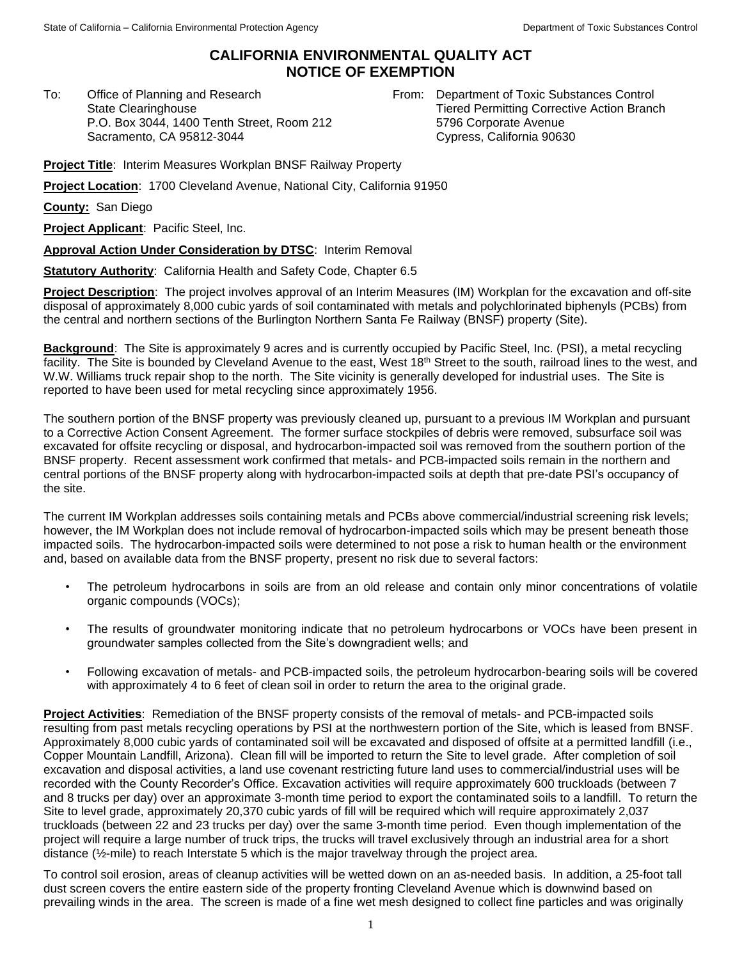# **CALIFORNIA ENVIRONMENTAL QUALITY ACT NOTICE OF EXEMPTION**

To: Office of Planning and Research State Clearinghouse P.O. Box 3044, 1400 Tenth Street, Room 212 Sacramento, CA 95812-3044

From: Department of Toxic Substances Control Tiered Permitting Corrective Action Branch 5796 Corporate Avenue Cypress, California 90630

**Project Title**: Interim Measures Workplan BNSF Railway Property

**Project Location**: 1700 Cleveland Avenue, National City, California 91950

**County:** San Diego

**Project Applicant**: Pacific Steel, Inc.

**Approval Action Under Consideration by DTSC**: Interim Removal

**Statutory Authority**: California Health and Safety Code, Chapter 6.5

**Project Description**: The project involves approval of an Interim Measures (IM) Workplan for the excavation and off-site disposal of approximately 8,000 cubic yards of soil contaminated with metals and polychlorinated biphenyls (PCBs) from the central and northern sections of the Burlington Northern Santa Fe Railway (BNSF) property (Site).

**Background**: The Site is approximately 9 acres and is currently occupied by Pacific Steel, Inc. (PSI), a metal recycling facility. The Site is bounded by Cleveland Avenue to the east, West 18<sup>th</sup> Street to the south, railroad lines to the west, and W.W. Williams truck repair shop to the north. The Site vicinity is generally developed for industrial uses. The Site is reported to have been used for metal recycling since approximately 1956.

The southern portion of the BNSF property was previously cleaned up, pursuant to a previous IM Workplan and pursuant to a Corrective Action Consent Agreement. The former surface stockpiles of debris were removed, subsurface soil was excavated for offsite recycling or disposal, and hydrocarbon-impacted soil was removed from the southern portion of the BNSF property. Recent assessment work confirmed that metals- and PCB-impacted soils remain in the northern and central portions of the BNSF property along with hydrocarbon-impacted soils at depth that pre-date PSI's occupancy of the site.

The current IM Workplan addresses soils containing metals and PCBs above commercial/industrial screening risk levels; however, the IM Workplan does not include removal of hydrocarbon-impacted soils which may be present beneath those impacted soils. The hydrocarbon-impacted soils were determined to not pose a risk to human health or the environment and, based on available data from the BNSF property, present no risk due to several factors:

- The petroleum hydrocarbons in soils are from an old release and contain only minor concentrations of volatile organic compounds (VOCs);
- The results of groundwater monitoring indicate that no petroleum hydrocarbons or VOCs have been present in groundwater samples collected from the Site's downgradient wells; and
- Following excavation of metals- and PCB-impacted soils, the petroleum hydrocarbon-bearing soils will be covered with approximately 4 to 6 feet of clean soil in order to return the area to the original grade.

**Project Activities**: Remediation of the BNSF property consists of the removal of metals- and PCB-impacted soils resulting from past metals recycling operations by PSI at the northwestern portion of the Site, which is leased from BNSF. Approximately 8,000 cubic yards of contaminated soil will be excavated and disposed of offsite at a permitted landfill (i.e., Copper Mountain Landfill, Arizona). Clean fill will be imported to return the Site to level grade. After completion of soil excavation and disposal activities, a land use covenant restricting future land uses to commercial/industrial uses will be recorded with the County Recorder's Office. Excavation activities will require approximately 600 truckloads (between 7 and 8 trucks per day) over an approximate 3-month time period to export the contaminated soils to a landfill. To return the Site to level grade, approximately 20,370 cubic yards of fill will be required which will require approximately 2,037 truckloads (between 22 and 23 trucks per day) over the same 3-month time period. Even though implementation of the project will require a large number of truck trips, the trucks will travel exclusively through an industrial area for a short distance (½-mile) to reach Interstate 5 which is the major travelway through the project area.

To control soil erosion, areas of cleanup activities will be wetted down on an as-needed basis. In addition, a 25-foot tall dust screen covers the entire eastern side of the property fronting Cleveland Avenue which is downwind based on prevailing winds in the area. The screen is made of a fine wet mesh designed to collect fine particles and was originally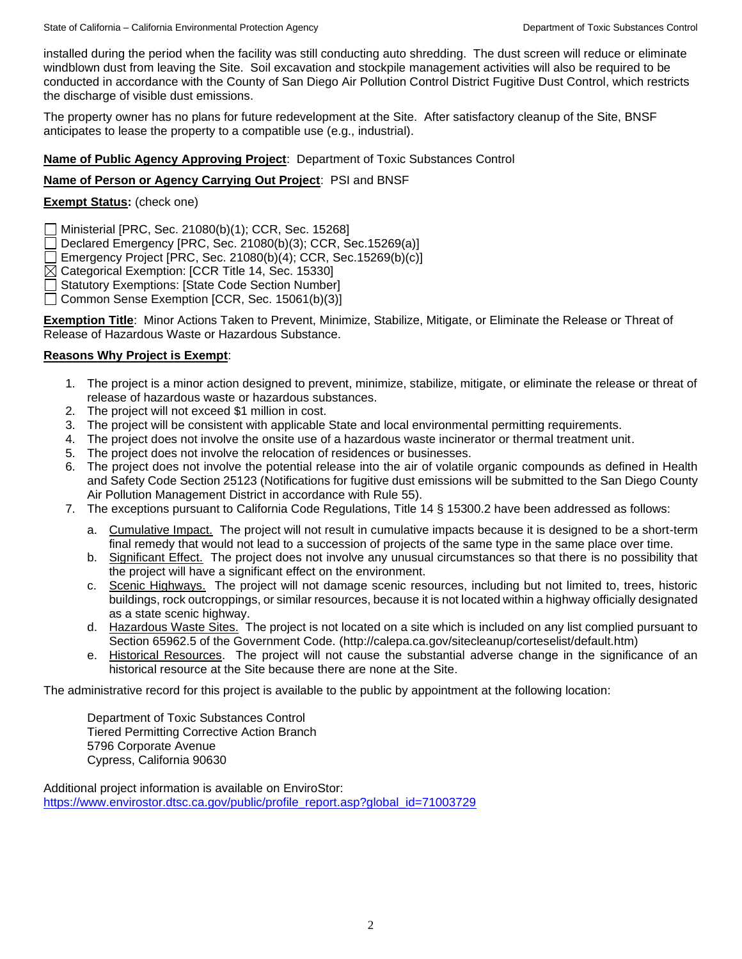installed during the period when the facility was still conducting auto shredding. The dust screen will reduce or eliminate windblown dust from leaving the Site. Soil excavation and stockpile management activities will also be required to be conducted in accordance with the County of San Diego Air Pollution Control District Fugitive Dust Control, which restricts the discharge of visible dust emissions.

The property owner has no plans for future redevelopment at the Site. After satisfactory cleanup of the Site, BNSF anticipates to lease the property to a compatible use (e.g., industrial).

## **Name of Public Agency Approving Project**: Department of Toxic Substances Control

# **Name of Person or Agency Carrying Out Project**: PSI and BNSF

# **Exempt Status:** (check one)

Ministerial [PRC, Sec. 21080(b)(1); CCR, Sec. 15268]

Declared Emergency [PRC, Sec. 21080(b)(3); CCR, Sec.15269(a)]

Emergency Project [PRC, Sec. 21080(b)(4); CCR, Sec.15269(b)(c)]

 $\boxtimes$  Categorical Exemption: [CCR Title 14, Sec. 15330]

Statutory Exemptions: [State Code Section Number]

Common Sense Exemption [CCR, Sec. 15061(b)(3)]

**Exemption Title**: Minor Actions Taken to Prevent, Minimize, Stabilize, Mitigate, or Eliminate the Release or Threat of Release of Hazardous Waste or Hazardous Substance.

## **Reasons Why Project is Exempt**:

- 1. The project is a minor action designed to prevent, minimize, stabilize, mitigate, or eliminate the release or threat of release of hazardous waste or hazardous substances.
- 2. The project will not exceed \$1 million in cost.
- 3. The project will be consistent with applicable State and local environmental permitting requirements.
- 4. The project does not involve the onsite use of a hazardous waste incinerator or thermal treatment unit.
- 5. The project does not involve the relocation of residences or businesses.
- 6. The project does not involve the potential release into the air of volatile organic compounds as defined in Health and Safety Code Section 25123 (Notifications for fugitive dust emissions will be submitted to the San Diego County Air Pollution Management District in accordance with Rule 55).
- 7. The exceptions pursuant to California Code Regulations, Title 14 § 15300.2 have been addressed as follows:
	- a. Cumulative Impact. The project will not result in cumulative impacts because it is designed to be a short-term final remedy that would not lead to a succession of projects of the same type in the same place over time.
	- b. Significant Effect. The project does not involve any unusual circumstances so that there is no possibility that the project will have a significant effect on the environment.
	- c. Scenic Highways. The project will not damage scenic resources, including but not limited to, trees, historic buildings, rock outcroppings, or similar resources, because it is not located within a highway officially designated as a state scenic highway.
	- d. Hazardous Waste Sites. The project is not located on a site which is included on any list complied pursuant to Section 65962.5 of the Government Code. (http://calepa.ca.gov/sitecleanup/corteselist/default.htm)
	- e. Historical Resources. The project will not cause the substantial adverse change in the significance of an historical resource at the Site because there are none at the Site.

The administrative record for this project is available to the public by appointment at the following location:

Department of Toxic Substances Control Tiered Permitting Corrective Action Branch 5796 Corporate Avenue Cypress, California 90630

Additional project information is available on EnviroStor: [https://www.envirostor.dtsc.ca.gov/public/profile\\_report.asp?global\\_id=71003729](https://www.envirostor.dtsc.ca.gov/public/profile_report.asp?global_id=71003729)